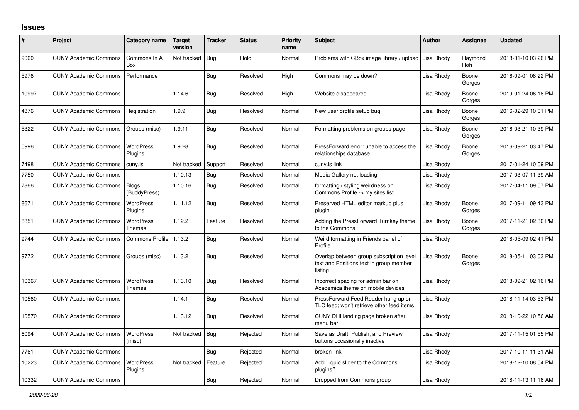## **Issues**

| ∦     | Project                      | Category name                | Target<br>version | <b>Tracker</b> | <b>Status</b> | <b>Priority</b><br>name | <b>Subject</b>                                                                                 | <b>Author</b> | <b>Assignee</b> | <b>Updated</b>      |
|-------|------------------------------|------------------------------|-------------------|----------------|---------------|-------------------------|------------------------------------------------------------------------------------------------|---------------|-----------------|---------------------|
| 9060  | <b>CUNY Academic Commons</b> | Commons In A<br><b>Box</b>   | Not tracked       | Bug            | Hold          | Normal                  | Problems with CBox image library / upload                                                      | Lisa Rhody    | Raymond<br>Hoh  | 2018-01-10 03:26 PM |
| 5976  | <b>CUNY Academic Commons</b> | Performance                  |                   | Bug            | Resolved      | High                    | Commons may be down?                                                                           | Lisa Rhody    | Boone<br>Gorges | 2016-09-01 08:22 PM |
| 10997 | <b>CUNY Academic Commons</b> |                              | 1.14.6            | Bug            | Resolved      | High                    | Website disappeared                                                                            | Lisa Rhody    | Boone<br>Gorges | 2019-01-24 06:18 PM |
| 4876  | <b>CUNY Academic Commons</b> | Registration                 | 1.9.9             | Bug            | Resolved      | Normal                  | New user profile setup bug                                                                     | Lisa Rhody    | Boone<br>Gorges | 2016-02-29 10:01 PM |
| 5322  | <b>CUNY Academic Commons</b> | Groups (misc)                | 1.9.11            | Bug            | Resolved      | Normal                  | Formatting problems on groups page                                                             | Lisa Rhody    | Boone<br>Gorges | 2016-03-21 10:39 PM |
| 5996  | <b>CUNY Academic Commons</b> | <b>WordPress</b><br>Plugins  | 1.9.28            | <b>Bug</b>     | Resolved      | Normal                  | PressForward error: unable to access the<br>relationships database                             | Lisa Rhody    | Boone<br>Gorges | 2016-09-21 03:47 PM |
| 7498  | <b>CUNY Academic Commons</b> | cuny.is                      | Not tracked       | Support        | Resolved      | Normal                  | cuny.is link                                                                                   | Lisa Rhody    |                 | 2017-01-24 10:09 PM |
| 7750  | <b>CUNY Academic Commons</b> |                              | 1.10.13           | Bug            | Resolved      | Normal                  | Media Gallery not loading                                                                      | Lisa Rhody    |                 | 2017-03-07 11:39 AM |
| 7866  | <b>CUNY Academic Commons</b> | <b>Blogs</b><br>(BuddyPress) | 1.10.16           | Bug            | Resolved      | Normal                  | formatting / styling weirdness on<br>Commons Profile -> my sites list                          | Lisa Rhody    |                 | 2017-04-11 09:57 PM |
| 8671  | <b>CUNY Academic Commons</b> | <b>WordPress</b><br>Plugins  | 1.11.12           | <b>Bug</b>     | Resolved      | Normal                  | Preserved HTML editor markup plus<br>plugin                                                    | Lisa Rhody    | Boone<br>Gorges | 2017-09-11 09:43 PM |
| 8851  | <b>CUNY Academic Commons</b> | <b>WordPress</b><br>Themes   | 1.12.2            | Feature        | Resolved      | Normal                  | Adding the PressForward Turnkey theme<br>to the Commons                                        | Lisa Rhody    | Boone<br>Gorges | 2017-11-21 02:30 PM |
| 9744  | <b>CUNY Academic Commons</b> | <b>Commons Profile</b>       | 1.13.2            | <b>Bug</b>     | Resolved      | Normal                  | Weird formatting in Friends panel of<br>Profile                                                | Lisa Rhody    |                 | 2018-05-09 02:41 PM |
| 9772  | <b>CUNY Academic Commons</b> | Groups (misc)                | 1.13.2            | Bug            | Resolved      | Normal                  | Overlap between group subscription level<br>text and Positions text in group member<br>listing | Lisa Rhody    | Boone<br>Gorges | 2018-05-11 03:03 PM |
| 10367 | <b>CUNY Academic Commons</b> | <b>WordPress</b><br>Themes   | 1.13.10           | <b>Bug</b>     | Resolved      | Normal                  | Incorrect spacing for admin bar on<br>Academica theme on mobile devices                        | Lisa Rhody    |                 | 2018-09-21 02:16 PM |
| 10560 | <b>CUNY Academic Commons</b> |                              | 1.14.1            | Bug            | Resolved      | Normal                  | PressForward Feed Reader hung up on<br>TLC feed; won't retrieve other feed items               | Lisa Rhody    |                 | 2018-11-14 03:53 PM |
| 10570 | <b>CUNY Academic Commons</b> |                              | 1.13.12           | Bug            | Resolved      | Normal                  | CUNY DHI landing page broken after<br>menu bar                                                 | Lisa Rhody    |                 | 2018-10-22 10:56 AM |
| 6094  | <b>CUNY Academic Commons</b> | <b>WordPress</b><br>(misc)   | Not tracked       | Bug            | Rejected      | Normal                  | Save as Draft, Publish, and Preview<br>buttons occasionally inactive                           | Lisa Rhody    |                 | 2017-11-15 01:55 PM |
| 7761  | <b>CUNY Academic Commons</b> |                              |                   | Bug            | Rejected      | Normal                  | broken link                                                                                    | Lisa Rhody    |                 | 2017-10-11 11:31 AM |
| 10223 | <b>CUNY Academic Commons</b> | <b>WordPress</b><br>Plugins  | Not tracked       | Feature        | Rejected      | Normal                  | Add Liquid slider to the Commons<br>plugins?                                                   | Lisa Rhody    |                 | 2018-12-10 08:54 PM |
| 10332 | <b>CUNY Academic Commons</b> |                              |                   | <b>Bug</b>     | Rejected      | Normal                  | Dropped from Commons group                                                                     | Lisa Rhody    |                 | 2018-11-13 11:16 AM |